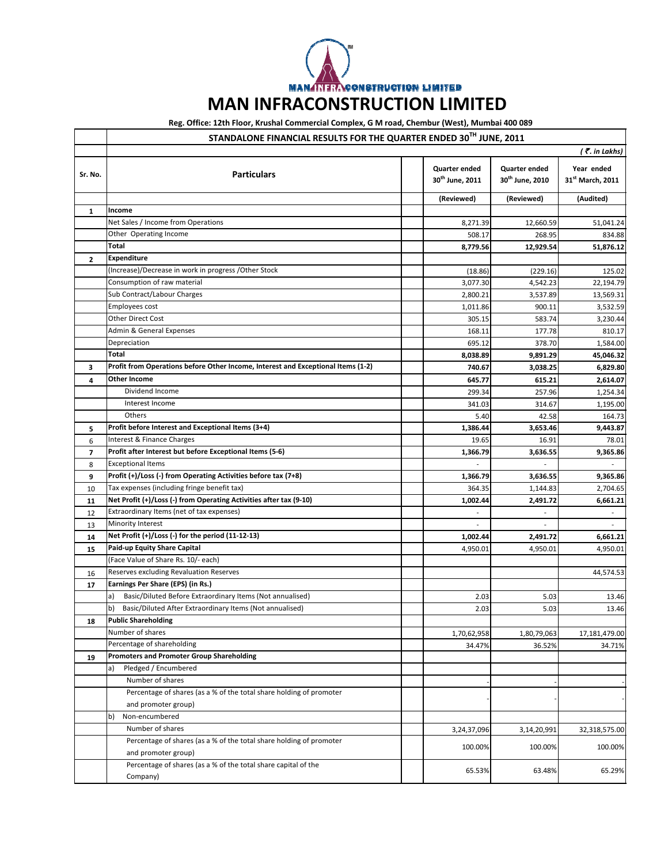**MANARITRACONSTRUCTION LIMITED** 

## **MAN INFRACONSTRUCTION LIMITED**

## **Reg. Office: 12th Floor, Krushal Commercial Complex, G M road, Chembur (West), Mumbai 400 089**

|              | STANDALONE FINANCIAL RESULTS FOR THE QUARTER ENDED 30TH JUNE, 2011                         |  |                                                     |                                         |                                            |
|--------------|--------------------------------------------------------------------------------------------|--|-----------------------------------------------------|-----------------------------------------|--------------------------------------------|
|              |                                                                                            |  |                                                     |                                         | (₹. in Lakhs)                              |
| Sr. No.      | <b>Particulars</b>                                                                         |  | <b>Quarter ended</b><br>30 <sup>th</sup> June, 2011 | <b>Quarter ended</b><br>30th June, 2010 | Year ended<br>31 <sup>st</sup> March, 2011 |
|              |                                                                                            |  | (Reviewed)                                          | (Reviewed)                              | (Audited)                                  |
| 1            | Income                                                                                     |  |                                                     |                                         |                                            |
|              | Net Sales / Income from Operations                                                         |  | 8,271.39                                            | 12,660.59                               | 51,041.24                                  |
|              | Other Operating Income                                                                     |  | 508.17                                              | 268.95                                  | 834.88                                     |
|              | Total                                                                                      |  | 8,779.56                                            | 12,929.54                               | 51,876.12                                  |
| $\mathbf{2}$ | <b>Expenditure</b>                                                                         |  |                                                     |                                         |                                            |
|              | (Increase)/Decrease in work in progress /Other Stock                                       |  | (18.86)                                             | (229.16)                                | 125.02                                     |
|              | Consumption of raw material                                                                |  | 3,077.30                                            | 4,542.23                                | 22,194.79                                  |
|              | Sub Contract/Labour Charges                                                                |  | 2,800.21                                            | 3,537.89                                | 13,569.31                                  |
|              | Employees cost                                                                             |  | 1,011.86                                            | 900.11                                  | 3,532.59                                   |
|              | <b>Other Direct Cost</b>                                                                   |  | 305.15                                              | 583.74                                  | 3,230.44                                   |
|              | Admin & General Expenses                                                                   |  | 168.11                                              | 177.78                                  | 810.17                                     |
|              | Depreciation                                                                               |  | 695.12                                              | 378.70                                  | 1,584.00                                   |
|              | Total                                                                                      |  | 8,038.89                                            | 9,891.29                                | 45,046.32                                  |
| 3            | Profit from Operations before Other Income, Interest and Exceptional Items (1-2)           |  | 740.67                                              | 3,038.25                                | 6,829.80                                   |
| 4            | Other Income                                                                               |  | 645.77                                              | 615.21                                  | 2,614.07                                   |
|              | Dividend Income                                                                            |  | 299.34                                              | 257.96                                  | 1,254.34                                   |
|              | Interest Income                                                                            |  | 341.03                                              | 314.67                                  | 1,195.00                                   |
|              | Others                                                                                     |  | 5.40                                                | 42.58                                   | 164.73                                     |
| 5            | Profit before Interest and Exceptional Items (3+4)                                         |  | 1,386.44                                            | 3,653.46                                | 9,443.87                                   |
| 6            | Interest & Finance Charges                                                                 |  | 19.65                                               | 16.91                                   | 78.01                                      |
| 7            | Profit after Interest but before Exceptional Items (5-6)                                   |  | 1,366.79                                            | 3,636.55                                | 9,365.86                                   |
| 8            | <b>Exceptional Items</b>                                                                   |  |                                                     |                                         |                                            |
| 9            | Profit (+)/Loss (-) from Operating Activities before tax (7+8)                             |  | 1,366.79                                            | 3,636.55                                | 9,365.86                                   |
| 10           | Tax expenses (including fringe benefit tax)                                                |  | 364.35                                              | 1,144.83                                | 2,704.65                                   |
| 11           | Net Profit (+)/Loss (-) from Operating Activities after tax (9-10)                         |  | 1,002.44                                            | 2,491.72                                | 6,661.21                                   |
| 12           | Extraordinary Items (net of tax expenses)                                                  |  | $\overline{\phantom{a}}$                            | $\overline{\phantom{a}}$                | $\overline{\phantom{a}}$                   |
| 13           | Minority Interest                                                                          |  |                                                     |                                         |                                            |
| 14           | Net Profit (+)/Loss (-) for the period (11-12-13)                                          |  | 1,002.44                                            | 2,491.72                                | 6,661.21                                   |
| 15           | Paid-up Equity Share Capital                                                               |  | 4,950.01                                            | 4,950.01                                | 4,950.01                                   |
|              | (Face Value of Share Rs. 10/- each)                                                        |  |                                                     |                                         |                                            |
| 16           | Reserves excluding Revaluation Reserves                                                    |  |                                                     |                                         | 44,574.53                                  |
| 17           | Earnings Per Share (EPS) (in Rs.)                                                          |  |                                                     |                                         |                                            |
|              | Basic/Diluted Before Extraordinary Items (Not annualised)<br>a)                            |  | 2.03                                                | 5.03                                    | 13.46                                      |
|              | Basic/Diluted After Extraordinary Items (Not annualised)<br>b)                             |  | 2.03                                                | 5.03                                    | 13.46                                      |
| 18           | <b>Public Shareholding</b>                                                                 |  |                                                     |                                         |                                            |
|              | Number of shares                                                                           |  | 1,70,62,958                                         | 1,80,79,063                             | 17,181,479.00                              |
|              | Percentage of shareholding                                                                 |  | 34.47%                                              | 36.52%                                  | 34.71%                                     |
| 19           | <b>Promoters and Promoter Group Shareholding</b>                                           |  |                                                     |                                         |                                            |
|              | Pledged / Encumbered<br>a)                                                                 |  |                                                     |                                         |                                            |
|              | Number of shares                                                                           |  |                                                     |                                         |                                            |
|              | Percentage of shares (as a % of the total share holding of promoter                        |  |                                                     |                                         |                                            |
|              | and promoter group)                                                                        |  |                                                     |                                         |                                            |
|              | Non-encumbered<br>b)                                                                       |  |                                                     |                                         |                                            |
|              | Number of shares                                                                           |  | 3,24,37,096                                         | 3,14,20,991                             | 32,318,575.00                              |
|              | Percentage of shares (as a % of the total share holding of promoter<br>and promoter group) |  | 100.00%                                             | 100.00%                                 | 100.00%                                    |
|              | Percentage of shares (as a % of the total share capital of the                             |  |                                                     |                                         |                                            |
|              | Company)                                                                                   |  | 65.53%                                              | 63.48%                                  | 65.29%                                     |